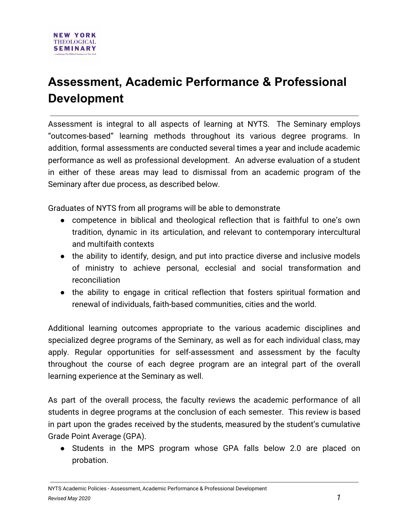## **Assessment, Academic Performance & Professional Development**

Assessment is integral to all aspects of learning at NYTS. The Seminary employs "outcomes-based" learning methods throughout its various degree programs. In addition, formal assessments are conducted several times a year and include academic performance as well as professional development. An adverse evaluation of a student in either of these areas may lead to dismissal from an academic program of the Seminary after due process, as described below.

Graduates of NYTS from all programs will be able to demonstrate

- competence in biblical and theological reflection that is faithful to one's own tradition, dynamic in its articulation, and relevant to contemporary intercultural and multifaith contexts
- the ability to identify, design, and put into practice diverse and inclusive models of ministry to achieve personal, ecclesial and social transformation and reconciliation
- the ability to engage in critical reflection that fosters spiritual formation and renewal of individuals, faith-based communities, cities and the world.

Additional learning outcomes appropriate to the various academic disciplines and specialized degree programs of the Seminary, as well as for each individual class, may apply. Regular opportunities for self-assessment and assessment by the faculty throughout the course of each degree program are an integral part of the overall learning experience at the Seminary as well.

As part of the overall process, the faculty reviews the academic performance of all students in degree programs at the conclusion of each semester. This review is based in part upon the grades received by the students, measured by the student's cumulative Grade Point Average (GPA).

● Students in the MPS program whose GPA falls below 2.0 are placed on probation.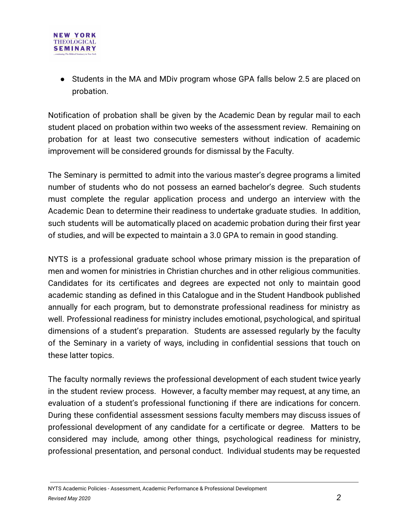

● Students in the MA and MDiv program whose GPA falls below 2.5 are placed on probation.

Notification of probation shall be given by the Academic Dean by regular mail to each student placed on probation within two weeks of the assessment review. Remaining on probation for at least two consecutive semesters without indication of academic improvement will be considered grounds for dismissal by the Faculty.

The Seminary is permitted to admit into the various master's degree programs a limited number of students who do not possess an earned bachelor's degree. Such students must complete the regular application process and undergo an interview with the Academic Dean to determine their readiness to undertake graduate studies. In addition, such students will be automatically placed on academic probation during their first year of studies, and will be expected to maintain a 3.0 GPA to remain in good standing.

NYTS is a professional graduate school whose primary mission is the preparation of men and women for ministries in Christian churches and in other religious communities. Candidates for its certificates and degrees are expected not only to maintain good academic standing as defined in this Catalogue and in the Student Handbook published annually for each program, but to demonstrate professional readiness for ministry as well. Professional readiness for ministry includes emotional, psychological, and spiritual dimensions of a student's preparation. Students are assessed regularly by the faculty of the Seminary in a variety of ways, including in confidential sessions that touch on these latter topics.

The faculty normally reviews the professional development of each student twice yearly in the student review process. However, a faculty member may request, at any time, an evaluation of a student's professional functioning if there are indications for concern. During these confidential assessment sessions faculty members may discuss issues of professional development of any candidate for a certificate or degree. Matters to be considered may include, among other things, psychological readiness for ministry, professional presentation, and personal conduct. Individual students may be requested